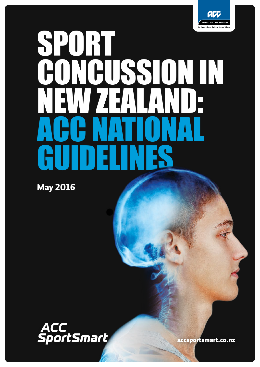

# SPORT **AONAISSIONIN** NEW ZEALAND: ACC NATIONAL GUIDELINES

May 2016



[accsportsmart.co.nz](http://accsportsmart.co.nz)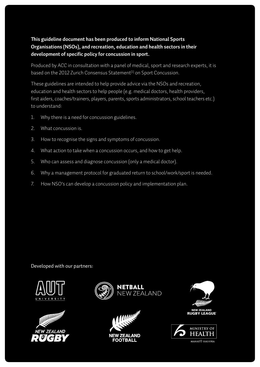### **This guideline document has been produced to inform National Sports Organisations (NSOs), and recreation, education and health sectors in their development of specific policy for concussion in sport.**

Produced by ACC in consultation with a panel of medical, sport and research experts, it is based on the 2012 Zurich Consensus Statement<sup>[1]</sup> on Sport Concussion.

These guidelines are intended to help provide advice via the NSOs and recreation, education and health sectors to help people (e.g. medical doctors, health providers, first aiders, coaches/trainers, players, parents, sports administrators, school teachers etc.) to understand:

- 1. Why there is a need for concussion guidelines.
- 2. What concussion is.
- 3. How to recognise the signs and symptoms of concussion.
- 4. What action to take when a concussion occurs, and how to get help.
- 5. Who can assess and diagnose concussion (only a medical doctor).
- 6. Why a management protocol for graduated return to school/work/sport is needed.
- 7. How NSO's can develop a concussion policy and implementation plan.

Developed with our partners:











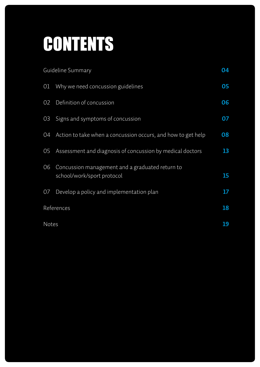# CONTENTS

|              | Guideline Summary                                                             | 04 |
|--------------|-------------------------------------------------------------------------------|----|
| 01           | Why we need concussion guidelines                                             | 05 |
| 02           | Definition of concussion                                                      | 06 |
| 03           | Signs and symptoms of concussion                                              | 07 |
| 04           | Action to take when a concussion occurs, and how to get help                  | 08 |
| 05           | Assessment and diagnosis of concussion by medical doctors                     | 13 |
| 06           | Concussion management and a graduated return to<br>school/work/sport protocol | 15 |
| 07           | Develop a policy and implementation plan                                      | 17 |
|              | References                                                                    | 18 |
| <b>Notes</b> |                                                                               | 19 |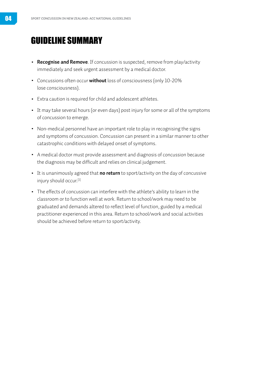# <span id="page-3-0"></span>GUIDELINE SUMMARY

- **Recognise and Remove**. If concussion is suspected, remove from play/activity immediately and seek urgent assessment by a medical doctor.
- Concussions often occur **without** loss of consciousness (only 10-20% lose consciousness).
- Extra caution is required for child and adolescent athletes.
- It may take several hours (or even days) post injury for some or all of the symptoms of concussion to emerge.
- Non-medical personnel have an important role to play in recognising the signs and symptoms of concussion. Concussion can present in a similar manner to other catastrophic conditions with delayed onset of symptoms.
- A medical doctor must provide assessment and diagnosis of concussion because the diagnosis may be difficult and relies on clinical judgement.
- It is unanimously agreed that **no return** to sport/activity on the day of concussive injury should occur.<sup>[\[1\]](#page-17-0)</sup>
- The effects of concussion can interfere with the athlete's ability to learn in the classroom or to function well at work. Return to school/work may need to be graduated and demands altered to reflect level of function, guided by a medical practitioner experienced in this area. Return to school/work and social activities should be achieved before return to sport/activity.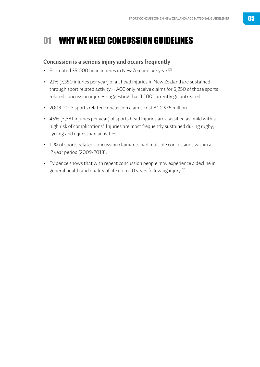# <span id="page-4-0"></span>01 WHY WE NEED CONCUSSION GUIDELINES

#### **Concussion is a serious injury and occurs frequently**

- Estimated 35,000 head injuries in New Zealand per year.[\[2\]](#page-17-0)
- 21% (7,350 injuries per year) of all head injuries in New Zealand are sustained through sport related activity[.\[3\]](#page-17-0) ACC only receive claims for 6,250 of those sports related concussion injuries suggesting that 1,100 currently go untreated.
- 2009-2013 sports related concussion claims cost ACC \$76 million.
- 46% (3,381 injuries per year) of sports head injuries are classified as 'mild with a high risk of complications'. Injuries are most frequently sustained during rugby, cycling and equestrian activities.
- 11% of sports related concussion claimants had multiple concussions within a 2 year period (2009-2013).
- Evidence shows that with repeat concussion people may experience a decline in general health and quality of life up to 10 years following injury. [\[4\]](#page-17-0)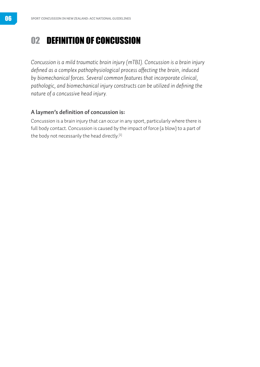# <span id="page-5-0"></span>02 DEFINITION OF CONCUSSION

*Concussion is a mild traumatic brain injury (mTBI). Concussion is a brain injury defined as a complex pathophysiological process affecting the brain, induced by biomechanical forces. Several common features that incorporate clinical, pathologic, and biomechanical injury constructs can be utilized in defining the nature of a concussive head injury.* 

#### **A laymen's definition of concussion is:**

Concussion is a brain injury that can occur in any sport, particularly where there is full body contact. Concussion is caused by the impact of force (a blow) to a part of the body not necessarily the head directly.<sup>[1]</sup>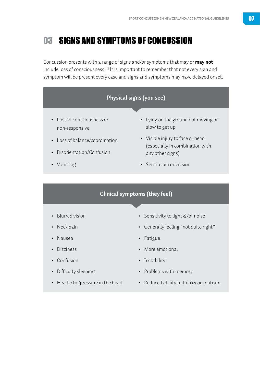# <span id="page-6-0"></span>03 SIGNS AND SYMPTOMS OF CONCUSSION

Concussion presents with a range of signs and/or symptoms that may or **may not** include loss of consciousness.<sup>[1]</sup> It is important to remember that not every sign and symptom will be present every case and signs and symptoms may have delayed onset.



- Difficulty sleeping
- Headache/pressure in the head
- Reduced ability to think/concentrate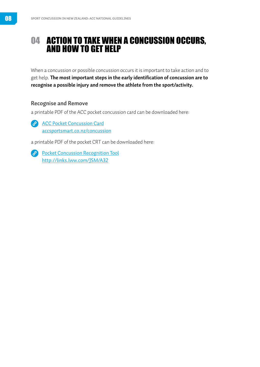# <span id="page-7-0"></span>04 ACTION TO TAKE WHEN A CONCUSSION OCCURS, AND HOW TO GET HELP

When a concussion or possible concussion occurs it is important to take action and to get help. **The most important steps in the early identification of concussion are to recognise a possible injury and remove the athlete from the sport/activity.**

#### **Recognise and Remove**

a printable PDF of the ACC pocket concussion card can be downloaded here:

**[ACC Pocket Concussion Card](http://http;//accsportsmart.co.nz/concussion)** [accsportsmart.co.nz/concussion](http://accsportsmart.co.nz/concussion)

a printable PDF of the pocket CRT can be downloaded here:

*[Pocket Concussion Recognition Tool](http://links.lww.com/JSM/A32)* <http://links.lww.com/JSM/A32>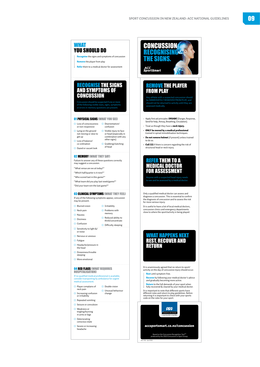

#### RECOGNISE THE SIGNS AND SYMPTOMS OF **CONCUSSION**

#### 02 MEMORY (WHAT THEY SAY)

may suggest a concussion.

- "What venue are we at today?"
- 
- 

"What team did you play last week/game?"

### **03 CLINICAL SYMPTOMS (WHAT THEY FEEL)**

- or noise
- 
- ¨ Fatigue
- ¨ Headache/pressure in
- 
- sleeping
- 

**04 RED FLAGS (WHAT REQUIRES)** 

## If no qualified medical professional is available,

 $\Box$  Player complains of  $\Box$  Double vision neck pain

- $\Box$  Repeated vomiting
- $\Box$  Seizure or convulsion
- ¨ Weakness or
- 
- 
- $\Box$  Severe or increasing<br>headache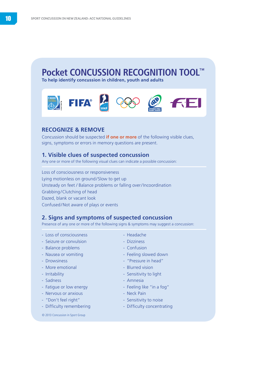# **Pocket CONCUSSION RECOGNITION TOOL™**

**To help identify concussion in children, youth and adults**



#### **RECOGNIZE & REMOVE**

Concussion should be suspected **if one or more** of the following visible clues, signs, symptoms or errors in memory questions are present.

#### **1. Visible clues of suspected concussion**

Any one or more of the following visual clues can indicate a possible concussion:

Loss of consciousness or responsiveness Lying motionless on ground/Slow to get up Unsteady on feet / Balance problems or falling over/Incoordination Grabbing/Clutching of head Dazed, blank or vacant look Confused/Not aware of plays or events

#### **2. Signs and symptoms of suspected concussion**

Presence of any one or more of the following signs & symptoms may suggest a concussion:

- Loss of consciousness Headache
- Seizure or convulsion The Dizziness
- Balance problems Confusion
- 
- 
- More emotional and a set of the Blurred vision
- 
- Sadness Amnesia
- Fatigue or low energy Feeling like "in a fog"
- Nervous or anxious Neck Pain
- "Don't feel right" Sensitivity to noise
- 

© 2013 Concussion in Sport Group © 2013 Concussion in Sport Group

- 
- 
- 
- Nausea or vomiting  $\overline{\phantom{a}}$  Feeling slowed down
- Drowsiness "Pressure in head"
	-
- Irritability Sensitivity to light
	-
	-
	-
	-
- Difficulty remembering Difficulty concentrating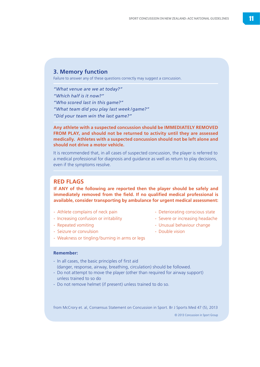#### **3. Memory function**

Failure to answer any of these questions correctly may suggest a concussion.

*"What venue are we at today?"*

*"Which half is it now?"*

*"Who scored last in this game?"*

*"What team did you play last week /game?"* 

*"Did your team win the last game?"*

#### **Any athlete with a suspected concussion should be IMMEDIATELY REMOVED FROM PLAY, and should not be returned to activity until they are assessed medically. Athletes with a suspected concussion should not be left alone and should not drive a motor vehicle.**

It is recommended that, in all cases of suspected concussion, the player is referred to a medical professional for diagnosis and guidance as well as return to play decisions, even if the symptoms resolve.

#### **RED FLAGS**

**If ANY of the following are reported then the player should be safely and immediately removed from the field. If no qualified medical professional is available, consider transporting by ambulance for urgent medical assessment:**

- Athlete complains of neck pain Deteriorating conscious state
- Increasing confusion or irritability Severe or increasing headache

- Weakness or tingling/burning in arms or legs

- 
- Seizure or convulsion All and the Seizure or convulsion Double vision
- 
- Repeated vomiting Unusual behaviour change
	-

#### **Remember:**

- In all cases, the basic principles of first aid (danger, response, airway, breathing, circulation) should be followed.
- Do not attempt to move the player (other than required for airway support) unless trained to so do
- Do not remove helmet (if present) unless trained to do so.

from McCrory et. al, Consensus Statement on Concussion in Sport. Br J Sports Med 47 (5), 2013

© 2013 Concussion in Sport Group © 2013 Concussion in Sport Group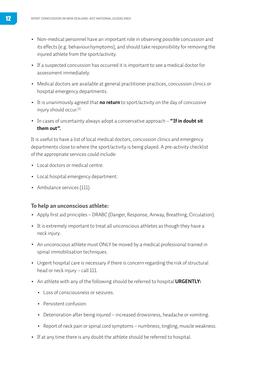- Non-medical personnel have an important role in observing possible concussion and its effects (e.g. behaviour/symptoms), and should take responsibility for removing the injured athlete from the sport/activity.
- If a suspected concussion has occurred it is important to see a medical doctor for assessment immediately.
- Medical doctors are available at general practitioner practices, concussion clinics or hospital emergency departments.
- It is unanimously agreed that **no return** to sport/activity on the day of concussive injury should occur.[\[1\]](#page-17-0)
- In cases of uncertainty always adopt a conservative approach **"If in doubt sit them out".**

It is useful to have a list of local medical doctors, concussion clinics and emergency departments close to where the sport/activity is being played. A pre-activity checklist of the appropriate services could include:

- Local doctors or medical centre.
- Local hospital emergency department.
- Ambulance services (111).

#### **To help an unconscious athlete:**

- Apply first aid principles DRABC (Danger, Response, Airway, Breathing, Circulation).
- It is extremely important to treat all unconscious athletes as though they have a neck injury.
- An unconscious athlete must ONLY be moved by a medical professional trained in spinal immobilisation techniques.
- Urgent hospital care is necessary if there is concern regarding the risk of structural head or neck injury – call 111.
- An athlete with any of the following should be referred to hospital **URGENTLY:**
	- Loss of consciousness or seizures.
	- Persistent confusion.
	- Deterioration after being injured increased drowsiness, headache or vomiting.
	- Report of neck pain or spinal cord symptoms numbness, tingling, muscle weakness.
- If at any time there is any doubt the athlete should be referred to hospital.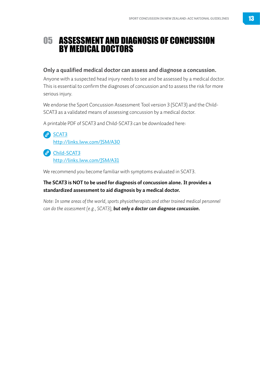# <span id="page-12-0"></span>05 ASSESSMENT AND DIAGNOSIS OF CONCUSSION BY MEDICAL DOCTORS

#### **Only a qualified medical doctor can assess and diagnose a concussion.**

Anyone with a suspected head injury needs to see and be assessed by a medical doctor. This is essential to confirm the diagnoses of concussion and to assess the risk for more serious injury.

We endorse the Sport Concussion Assessment Tool version 3 (SCAT3) and the Child-SCAT3 as a validated means of assessing concussion by a medical doctor.

A printable PDF of SCAT3 and Child-SCAT3 can be downloaded here:

<sup>2</sup>[SCAT3](http://links.lww.com/JSM/A30) <http://links.lww.com/JSM/A30>

**P** [Child-SCAT3](http://links.lww.com/JSM/A31) <http://links.lww.com/JSM/A31>

We recommend you become familiar with symptoms evaluated in SCAT3.

#### **The SCAT3 is NOT to be used for diagnosis of concussion alone. It provides a standardized assessment to aid diagnosis by a medical doctor.**

*Note: In some areas of the world, sports physiotherapists and other trained medical personnel can do the assessment (e.g., SCAT3), but only a doctor can diagnose concussion.*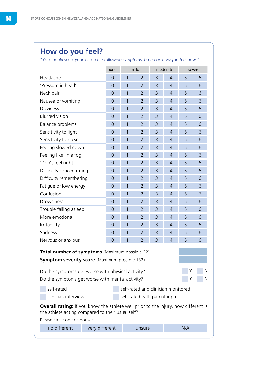## **How do you feel?**

"You should score yourself on the following symptoms, based on how you feel now."

|                                                                                                                                                                                                                                 | none           | mild |                                    | moderate |                | severe |   |
|---------------------------------------------------------------------------------------------------------------------------------------------------------------------------------------------------------------------------------|----------------|------|------------------------------------|----------|----------------|--------|---|
| Headache                                                                                                                                                                                                                        | $\overline{0}$ | 1    | $\overline{2}$                     | 3        | 4              | 5      | 6 |
| 'Pressure in head'                                                                                                                                                                                                              | $\overline{0}$ | 1    | $\overline{2}$                     | 3        | $\overline{4}$ | 5      | 6 |
| Neck pain                                                                                                                                                                                                                       | $\overline{0}$ | 1    | $\overline{2}$                     | 3        | $\overline{4}$ | 5      | 6 |
| Nausea or vomiting                                                                                                                                                                                                              | $\overline{0}$ | 1    | $\overline{2}$                     | 3        | $\overline{4}$ | 5      | 6 |
| <b>Dizziness</b>                                                                                                                                                                                                                | $\overline{0}$ | 1    | $\overline{2}$                     | 3        | $\overline{4}$ | 5      | 6 |
| <b>Blurred</b> vision                                                                                                                                                                                                           | $\overline{0}$ | 1    | $\overline{2}$                     | 3        | $\overline{4}$ | 5      | 6 |
| Balance problems                                                                                                                                                                                                                | $\overline{0}$ | 1    | $\overline{2}$                     | 3        | $\overline{4}$ | 5      | 6 |
| Sensitivity to light                                                                                                                                                                                                            | $\overline{0}$ | 1    | $\overline{2}$                     | 3        | 4              | 5      | 6 |
| Sensitivity to noise                                                                                                                                                                                                            | $\overline{0}$ | 1    | $\overline{2}$                     | 3        | 4              | 5      | 6 |
| Feeling slowed down                                                                                                                                                                                                             | $\overline{0}$ | 1    | $\overline{2}$                     | 3        | 4              | 5      | 6 |
| Feeling like 'in a fog'                                                                                                                                                                                                         | $\overline{0}$ | 1    | $\overline{2}$                     | 3        | $\overline{4}$ | 5      | 6 |
| 'Don't feel right'                                                                                                                                                                                                              | $\overline{0}$ | 1    | $\overline{2}$                     | 3        | 4              | 5      | 6 |
| Difficulty concentrating                                                                                                                                                                                                        | $\overline{0}$ | 1    | $\overline{2}$                     | 3        | $\overline{4}$ | 5      | 6 |
| Difficulty remembering                                                                                                                                                                                                          | $\overline{0}$ | 1    | $\overline{2}$                     | 3        | 4              | 5      | 6 |
| Fatigue or low energy                                                                                                                                                                                                           | $\overline{0}$ | 1    | $\overline{2}$                     | 3        | $\overline{4}$ | 5      | 6 |
| Confusion                                                                                                                                                                                                                       | $\overline{0}$ | 1    | $\overline{2}$                     | 3        | 4              | 5      | 6 |
| Drowsiness                                                                                                                                                                                                                      | $\overline{0}$ | 1    | $\overline{2}$                     | 3        | $\overline{4}$ | 5      | 6 |
| Trouble falling asleep                                                                                                                                                                                                          | $\mathbf 0$    | 1    | $\overline{2}$                     | 3        | $\overline{4}$ | 5      | 6 |
| More emotional                                                                                                                                                                                                                  | $\overline{0}$ | 1    | $\overline{2}$                     | 3        | $\overline{4}$ | 5      | 6 |
| Irritability                                                                                                                                                                                                                    | $\overline{0}$ | 1    | $\overline{2}$                     | 3        | 4              | 5      | 6 |
| Sadness                                                                                                                                                                                                                         | $\overline{0}$ | 1    | $\overline{2}$                     | 3        | 4              | 5      | 6 |
| Nervous or anxious                                                                                                                                                                                                              | $\overline{0}$ | 1    | $\overline{2}$                     | 3        | 4              | 5      | 6 |
| <b>Total number of symptoms</b> (Maximum possible 22)<br><b>Symptom severity score</b> (Maximum possible 132)<br>N<br>Do the symptoms get worse with physical activity?<br>N<br>Do the symptoms get worse with mental activity? |                |      |                                    |          |                |        |   |
| self-rated                                                                                                                                                                                                                      |                |      | self-rated and clinician monitored |          |                |        |   |
| clinician interview                                                                                                                                                                                                             |                |      | self-rated with parent input       |          |                |        |   |
| <b>Overall rating:</b> If you know the athlete well prior to the injury, how different is<br>the athlete acting compared to their usual self?<br>Please circle one response:<br>no different<br>very different<br>N/A<br>unsure |                |      |                                    |          |                |        |   |
|                                                                                                                                                                                                                                 |                |      |                                    |          |                |        |   |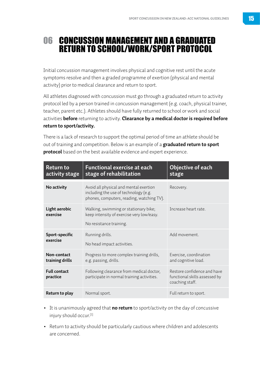# <span id="page-14-0"></span>06 CONCUSSION MANAGEMENT AND A GRADUATED RETURN TO SCHOOL/WORK/SPORT PROTOCOL

Initial concussion management involves physical and cognitive rest until the acute symptoms resolve and then a graded programme of exertion (physical and mental activity) prior to medical clearance and return to sport.

All athletes diagnosed with concussion must go through a graduated return to activity protocol led by a person trained in concussion management (e.g. coach, physical trainer, teacher, parent etc.). Athletes should have fully returned to school or work and social activities **before** returning to activity. **Clearance by a medical doctor is required before return to sport/activity.** 

There is a lack of research to support the optimal period of time an athlete should be out of training and competition. Below is an example of a **graduated return to sport protocol** based on the best available evidence and expert experience.

| <b>Return to</b><br>activity stage | <b>Functional exercise at each</b><br>stage of rehabilitation                                                                | Objective of each<br>stage                                                      |
|------------------------------------|------------------------------------------------------------------------------------------------------------------------------|---------------------------------------------------------------------------------|
| No activity                        | Avoid all physical and mental exertion<br>including the use of technology (e.g.<br>phones, computers, reading, watching TV). | Recovery.                                                                       |
| Light aerobic<br>exercise          | Walking, swimming or stationary bike;<br>keep intensity of exercise very low/easy.<br>No resistance training.                | Increase heart rate                                                             |
| <b>Sport-specific</b><br>exercise  | Running drills.<br>No head impact activities.                                                                                | Add movement                                                                    |
| Non-contact<br>training drills     | Progress to more complex training drills,<br>e.g. passing, drills.                                                           | Exercise, coordination<br>and cognitive load.                                   |
| <b>Full contact</b><br>practice    | Following clearance from medical doctor,<br>participate in normal training activities.                                       | Restore confidence and have<br>functional skills assessed by<br>coaching staff. |
| Return to play                     | Normal sport.                                                                                                                | Full return to sport.                                                           |

- It is unanimously agreed that **no return** to sport/activity on the day of concussive injury should occur.<sup>[\[1\]](#page-17-0)</sup>
- Return to activity should be particularly cautious where children and adolescents are concerned.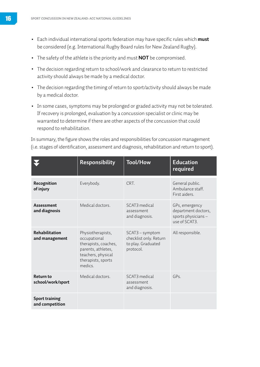- Each individual international sports federation may have specific rules which **must**  be considered (e.g. International Rugby Board rules for New Zealand Rugby).
- The safety of the athlete is the priority and must **NOT** be compromised.
- The decision regarding return to school/work and clearance to return to restricted activity should always be made by a medical doctor.
- The decision regarding the timing of return to sport/activity should always be made by a medical doctor.
- In some cases, symptoms may be prolonged or graded activity may not be tolerated. If recovery is prolonged, evaluation by a concussion specialist or clinic may be warranted to determine if there are other aspects of the concussion that could respond to rehabilitation.

In summary, the figure shows the roles and responsibilities for concussion management (i.e. stages of identification, assessment and diagnosis, rehabilitation and return to sport).

|                                          | <b>Responsibility</b>                                                                                                                  | <b>Tool/How</b>                                                              | <b>Education</b><br>required                                                  |
|------------------------------------------|----------------------------------------------------------------------------------------------------------------------------------------|------------------------------------------------------------------------------|-------------------------------------------------------------------------------|
| Recognition<br>of injury                 | Everybody.                                                                                                                             | CRT.                                                                         | General public.<br>Ambulance staff.<br>First aiders.                          |
| <b>Assessment</b><br>and diagnosis       | Medical doctors.                                                                                                                       | SCAT3 medical<br>assessment<br>and diagnosis.                                | GPs, emergency<br>department doctors,<br>sports physicians -<br>use of SCAT3. |
| Rehabilitation<br>and management         | Physiotherapists,<br>occupational<br>therapists, coaches,<br>parents, athletes,<br>teachers, physical<br>therapists, sports<br>medics. | SCAT3 - symptom<br>checklist only. Return<br>to play. Graduated<br>protocol. | All responsible.                                                              |
| <b>Return to</b><br>school/work/sport    | Medical doctors                                                                                                                        | SCAT3 medical<br>assessment<br>and diagnosis.                                | GPS                                                                           |
| <b>Sport training</b><br>and competition |                                                                                                                                        |                                                                              |                                                                               |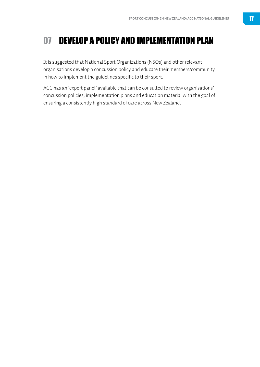# <span id="page-16-0"></span>07 DEVELOP A POLICY AND IMPLEMENTATION PLAN

It is suggested that National Sport Organizations (NSOs) and other relevant organisations develop a concussion policy and educate their members/community in how to implement the guidelines specific to their sport.

ACC has an 'expert panel' available that can be consulted to review organisations' concussion policies, implementation plans and education material with the goal of ensuring a consistently high standard of care across New Zealand.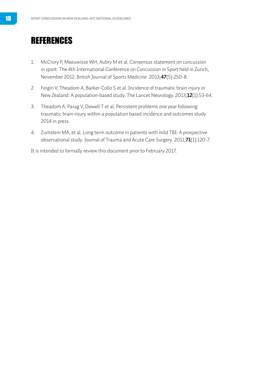# <span id="page-17-0"></span>REFERENCES

- 1. McCrory P, Meeuwisse WH, Aubry M et al. Consensus statement on concussion in sport: The 4th International Conference on Concussion in Sport held in Zurich, November 2012. British Journal of Sports Medicine. 2013;**47**(5):250-8.
- 2. Feigin V, Theadom A, Barker-Collo S et al. Incidence of traumatic brain injury in New Zealand: A population-based study. The Lancet Neurology. 2013;**12**(1):53-64.
- 3. Theadom A, Parag V, Dowell T et al. Persistent problems one year following traumatic brain injury within a population based incidence and outcomes study. 2014 in press.
- 4. Zumstein MA, et al. Long term outcome in patients with mild TBI: A prospective observational study. Journal of Trauma and Acute Care Surgery. 2011;**71**(1):120-7.

It is intended to formally review this document prior to February 2017.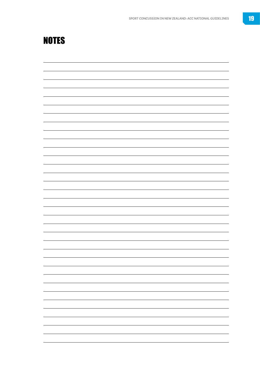# <span id="page-18-0"></span>NOTES